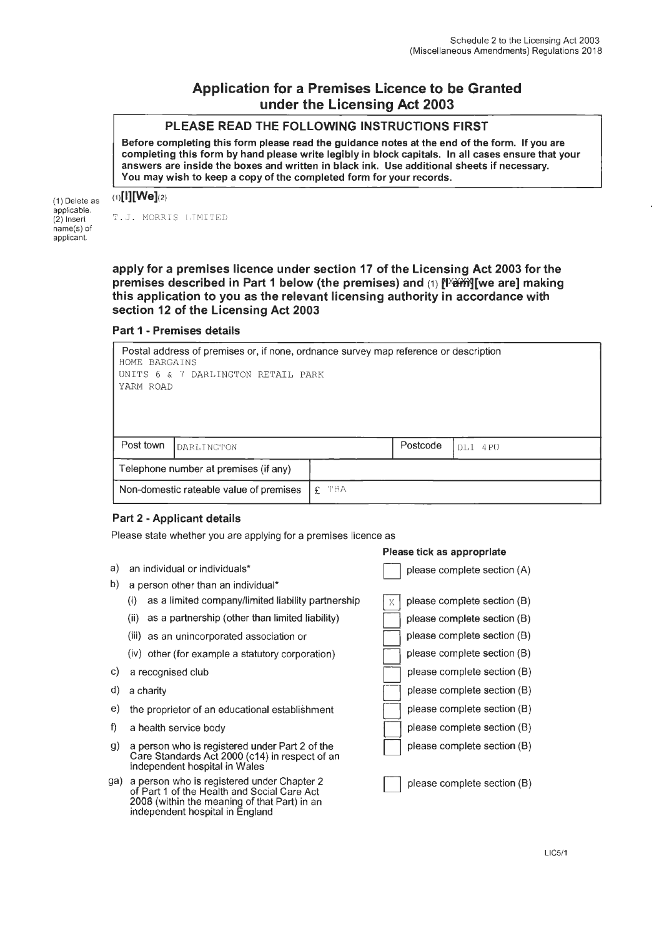# **Application for a Premises Licence to be Granted under the Licensing Act 2003**

# **PLEASE READ THE FOLLOWING INSTRUCTIONS FIRST**

**Before completing this form please read the guidance notes at the end of the form. If you are completing this form by hand please write legibly in block capitals. In all cases ensure that your answers are inside the boxes and written in black ink. Use additional sheets if necessary. You may wish to keep a copy of the completed form for your records.** 

### $(1)$ [l][We] $(2)$

(1) Delete as applicable. (2) Insert name(s) of applicant.

T.J. MORRIS LIMITED

**apply for a premises licence under section 17 of the Licensing Act 2003 for the**  premises described in Part 1 below (the premises) and (1) [<sup>xxim</sup>][we are] making **this application to you as the relevant licensing authority in accordance with section 12 of the Licensing Act 2003** 

### **Part 1 - Premises details**

| Postal address of premises or, if none, ordnance survey map reference or description<br>HOME BARGAINS |                                         |            |          |         |  |  |  |
|-------------------------------------------------------------------------------------------------------|-----------------------------------------|------------|----------|---------|--|--|--|
| UNITS 6 & 7 DARLINGTON RETAIL PARK                                                                    |                                         |            |          |         |  |  |  |
|                                                                                                       | YARM ROAD                               |            |          |         |  |  |  |
|                                                                                                       |                                         |            |          |         |  |  |  |
|                                                                                                       |                                         |            |          |         |  |  |  |
| Post town                                                                                             | DARLINGTON                              |            | Postcode | DL1 4PU |  |  |  |
|                                                                                                       | Telephone number at premises (if any)   |            |          |         |  |  |  |
|                                                                                                       | Non-domestic rateable value of premises | -t'BA<br>£ |          |         |  |  |  |

## **Part 2 - Applicant details**

Please state whether you are applying for a premises licence as

a) an individual or individuals\* b) a person other than an individual\* (i) as a limited company/limited liability partnership (ii) as a partnership (other than limited liability) (iii) as an unincorporated association or (iv) other (for example a statutory corporation) c) a recognised club d) a charity e) the proprietor of an educational establishment f) a health service body g) a person who is registered under Part 2 of the Care Standards Act 2000 (c14) in respect of an independent hospital in Wales ga) a person who is registered under Chapter 2 of Part 1 of the Health and Social Care Act 2008 (within the meaning of that Part) in an independent hospital in England please complete section (A)  $X$  please complete section (B) please complete section (B) please complete section (B) please complete section (B) please complete section (B) please complete section (B) please complete section (B) please complete section (B)

**Please tick as appropriate** 

please complete section (B)

please complete section (B)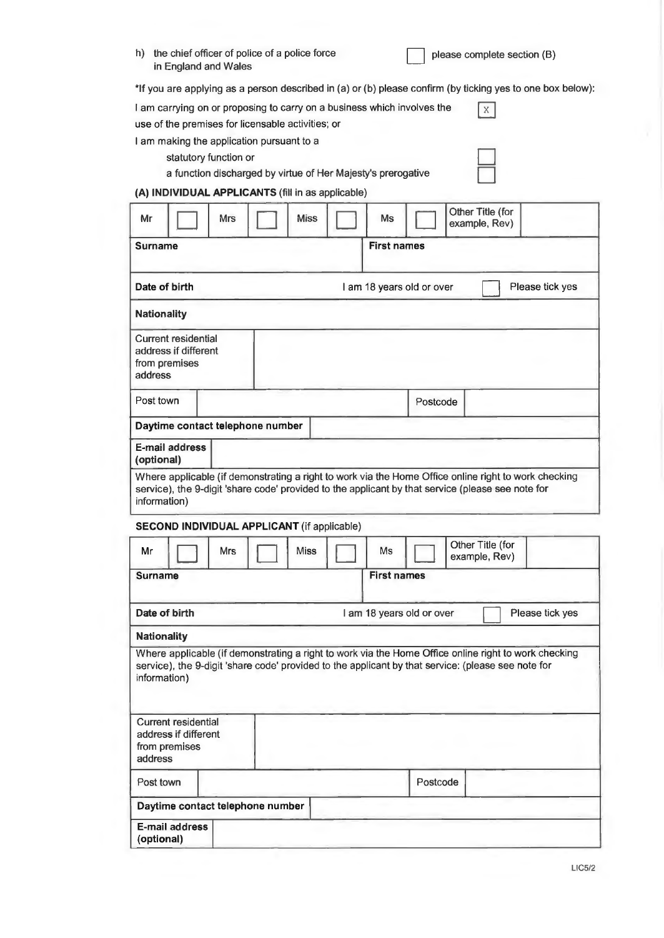| h) the chief officer of police of a police force<br>in England and Wales | please complete section (B) |
|--------------------------------------------------------------------------|-----------------------------|
|--------------------------------------------------------------------------|-----------------------------|

\*If you are applying as a person described in (a) or (b) please confirm (by ticking yes to one box below):

| I am carrying on or proposing to carry on a business which involves the | $\boxed{\mathbf{x}}$ |  |
|-------------------------------------------------------------------------|----------------------|--|
| use of the premises for licensable activities; or                       |                      |  |
| I am making the application pursuant to a                               |                      |  |
| statutory function or                                                   |                      |  |

a function discharged by virtue of Her Majesty's prerogative

# **(A) INDIVIDUAL APPLICANTS** (fill in as applicable)

| Mr                 |                                                                     | Mrs | <b>Miss</b> | Ms                        |          | Other Title (for<br>example, Rev)                                                                  |                                                                                                      |
|--------------------|---------------------------------------------------------------------|-----|-------------|---------------------------|----------|----------------------------------------------------------------------------------------------------|------------------------------------------------------------------------------------------------------|
| <b>Surname</b>     |                                                                     |     |             | <b>First names</b>        |          |                                                                                                    |                                                                                                      |
| Date of birth      |                                                                     |     |             | I am 18 years old or over |          |                                                                                                    | Please tick yes                                                                                      |
| <b>Nationality</b> |                                                                     |     |             |                           |          |                                                                                                    |                                                                                                      |
| address            | <b>Current residential</b><br>address if different<br>from premises |     |             |                           |          |                                                                                                    |                                                                                                      |
| Post town          |                                                                     |     |             |                           | Postcode |                                                                                                    |                                                                                                      |
|                    | Daytime contact telephone number                                    |     |             |                           |          |                                                                                                    |                                                                                                      |
| (optional)         | E-mail address                                                      |     |             |                           |          |                                                                                                    |                                                                                                      |
| information)       | SECOND INDIVIDUAL APPLICANT (if applicable)                         |     |             |                           |          | service), the 9-digit 'share code' provided to the applicant by that service (please see note for  | Where applicable (if demonstrating a right to work via the Home Office online right to work checking |
| Mr                 |                                                                     | Mrs | <b>Miss</b> | Ms                        |          | Other Title (for<br>example, Rev)                                                                  |                                                                                                      |
| <b>Surname</b>     |                                                                     |     |             | <b>First names</b>        |          |                                                                                                    |                                                                                                      |
| Date of birth      |                                                                     |     |             | I am 18 years old or over |          |                                                                                                    | Please tick yes                                                                                      |
| <b>Nationality</b> |                                                                     |     |             |                           |          |                                                                                                    |                                                                                                      |
| information)       |                                                                     |     |             |                           |          | service), the 9-digit 'share code' provided to the applicant by that service: (please see note for | Where applicable (if demonstrating a right to work via the Home Office online right to work checking |
| address            | <b>Current residential</b><br>address if different<br>from premises |     |             |                           |          |                                                                                                    |                                                                                                      |
| Post town          |                                                                     |     |             |                           | Postcode |                                                                                                    |                                                                                                      |
|                    | Daytime contact telephone number                                    |     |             |                           |          |                                                                                                    |                                                                                                      |
| (optional)         | <b>E-mail address</b>                                               |     |             |                           |          |                                                                                                    |                                                                                                      |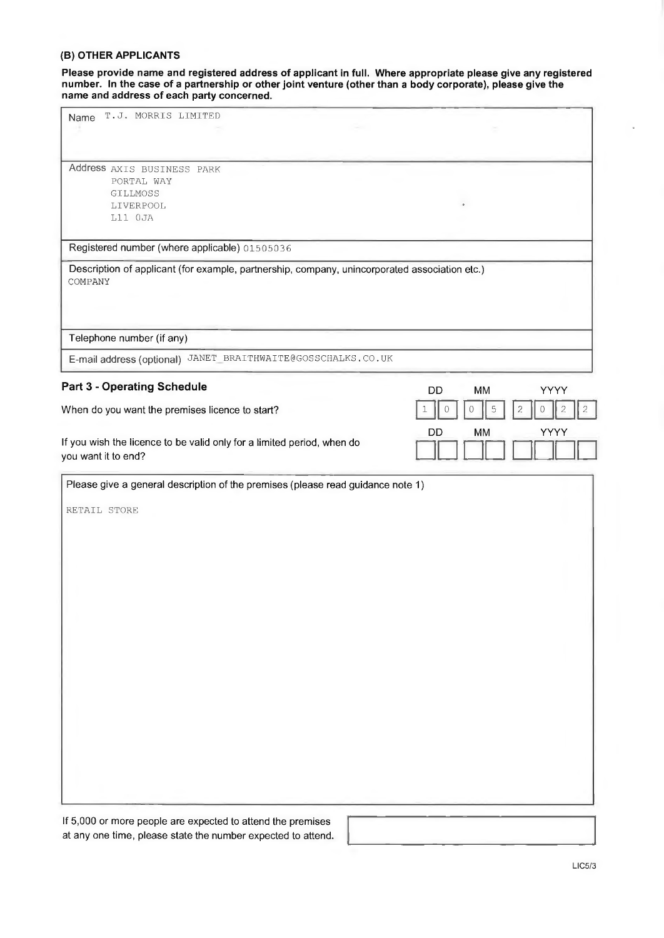### **(B) OTHER APPLICANTS**

**Please provide name and registered address of applicant in full. Where appropriate please give any registered number. In the case of a partnership or other joint venture (other than a body corporate), please give the name and address of each party concerned.** 

| T.J. MORRIS LIMITED<br>Name                                                                              |                                                        |
|----------------------------------------------------------------------------------------------------------|--------------------------------------------------------|
|                                                                                                          |                                                        |
|                                                                                                          |                                                        |
| Address AXIS BUSINESS PARK                                                                               |                                                        |
| PORTAL WAY                                                                                               |                                                        |
| GILLMOSS                                                                                                 |                                                        |
| LIVERPOOL                                                                                                |                                                        |
| L11 OJA                                                                                                  |                                                        |
|                                                                                                          |                                                        |
| Registered number (where applicable) 01505036                                                            |                                                        |
| Description of applicant (for example, partnership, company, unincorporated association etc.)<br>COMPANY |                                                        |
|                                                                                                          |                                                        |
| Telephone number (if any)                                                                                |                                                        |
| E-mail address (optional) JANET_BRAITHWAITE@GOSSCHALKS.CO.UK                                             |                                                        |
| <b>Part 3 - Operating Schedule</b>                                                                       | MM<br>YYYY<br>DD                                       |
| When do you want the premises licence to start?                                                          | 5<br>$\sqrt{2}$<br>0<br>$\circ$<br>$\overline{c}$<br>0 |
|                                                                                                          | YYYY<br>DD<br>MM                                       |
| If you wish the licence to be valid only for a limited period, when do                                   |                                                        |
| you want it to end?                                                                                      |                                                        |
|                                                                                                          |                                                        |
| Please give a general description of the premises (please read guidance note 1)                          |                                                        |
|                                                                                                          |                                                        |
| RETAIL STORE                                                                                             |                                                        |
|                                                                                                          |                                                        |
|                                                                                                          |                                                        |
|                                                                                                          |                                                        |
|                                                                                                          |                                                        |
|                                                                                                          |                                                        |
|                                                                                                          |                                                        |
|                                                                                                          |                                                        |
|                                                                                                          |                                                        |
|                                                                                                          |                                                        |
|                                                                                                          |                                                        |
|                                                                                                          |                                                        |
|                                                                                                          |                                                        |
|                                                                                                          |                                                        |
|                                                                                                          |                                                        |
|                                                                                                          |                                                        |
|                                                                                                          |                                                        |
|                                                                                                          |                                                        |
|                                                                                                          |                                                        |
|                                                                                                          |                                                        |
|                                                                                                          |                                                        |
|                                                                                                          |                                                        |
|                                                                                                          |                                                        |
|                                                                                                          |                                                        |

If 5,000 or more people are expected to attend the premises at any one time, please state the number expected to attend.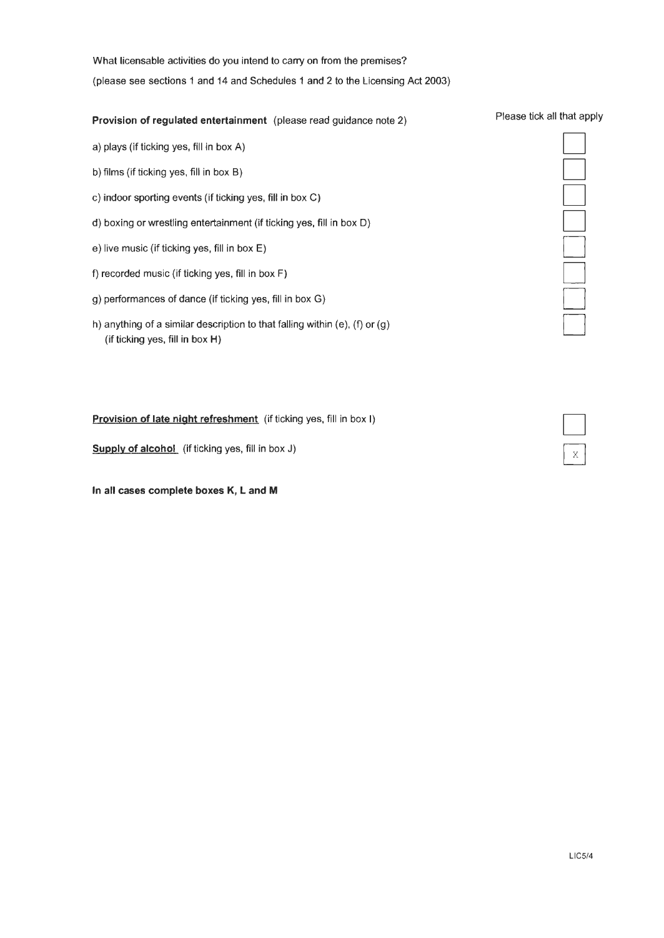What licensable activities do you intend to carry on from the premises? (please see sections 1 and 14 and Schedules 1 and 2 to the Licensing Act 2003)

### **Provision of regulated entertainment** (please read guidance note 2)

- a) plays (if ticking yes, fill in box A)
- b) films (if ticking yes, fill in box B)
- c) indoor sporting events (if ticking yes, fill in box C)
- d) boxing or wrestling entertainment (if ticking yes, fill in box D)
- e) live music (if ticking yes, fill in box **E)**
- f) recorded music (if ticking yes, fill in box F)
- g) performances of dance (if ticking yes, fill in box G)
- h) anything of a similar description to that falling within (e), (f) or (g) (if ticking yes, fill in box H)

**Provision of late night refreshment** (if ticking yes, fill in box I)

**Supply of alcohol** (if ticking yes, fill in box J)

**In all cases complete boxes K, L and M** 

#### Please tick all that apply

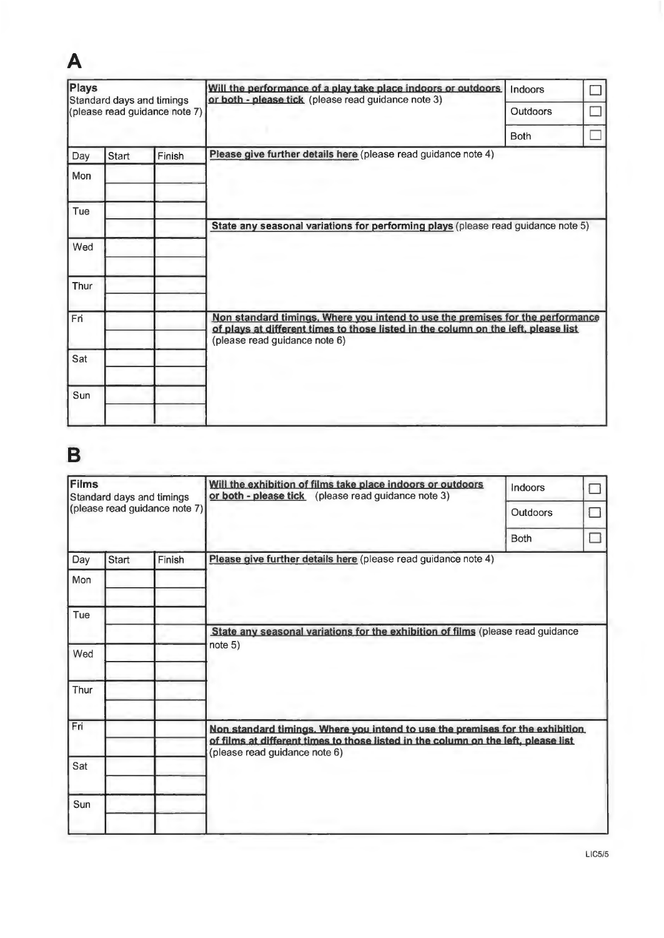| Plays<br>Standard days and timings<br>(please read guidance note 7) |       |        | Will the performance of a play take place indoors or outdoors<br>or both - please tick (please read guidance note 3)                                                                                  | Indoors         |  |
|---------------------------------------------------------------------|-------|--------|-------------------------------------------------------------------------------------------------------------------------------------------------------------------------------------------------------|-----------------|--|
|                                                                     |       |        |                                                                                                                                                                                                       | <b>Outdoors</b> |  |
|                                                                     |       |        |                                                                                                                                                                                                       | <b>Both</b>     |  |
| Day                                                                 | Start | Finish | Please give further details here (please read guidance note 4)                                                                                                                                        |                 |  |
| Mon                                                                 |       |        |                                                                                                                                                                                                       |                 |  |
| Tue                                                                 |       |        |                                                                                                                                                                                                       |                 |  |
|                                                                     |       |        | State any seasonal variations for performing plays (please read guidance note 5)                                                                                                                      |                 |  |
| Wed                                                                 |       |        |                                                                                                                                                                                                       |                 |  |
| Thur                                                                |       |        |                                                                                                                                                                                                       |                 |  |
|                                                                     |       |        |                                                                                                                                                                                                       |                 |  |
| Fri                                                                 |       |        | Non standard timings. Where you intend to use the premises for the performance<br>of plays at different times to those listed in the column on the left, please list<br>(please read guidance note 6) |                 |  |
| Sat                                                                 |       |        |                                                                                                                                                                                                       |                 |  |
| Sun                                                                 |       |        |                                                                                                                                                                                                       |                 |  |
|                                                                     |       |        |                                                                                                                                                                                                       |                 |  |

# **B**

**A** 

| Films<br>Standard days and timings<br>(please read guidance note 7) |       |        | Will the exhibition of films take place indoors or outdoors<br>or both - please tick (please read guidance note 3)                                                   | Indoors         |  |
|---------------------------------------------------------------------|-------|--------|----------------------------------------------------------------------------------------------------------------------------------------------------------------------|-----------------|--|
|                                                                     |       |        |                                                                                                                                                                      | <b>Outdoors</b> |  |
|                                                                     |       |        |                                                                                                                                                                      | <b>Both</b>     |  |
| Day                                                                 | Start | Finish | Please give further details here (please read guidance note 4)                                                                                                       |                 |  |
| Mon                                                                 |       |        |                                                                                                                                                                      |                 |  |
| Tue                                                                 |       |        |                                                                                                                                                                      |                 |  |
|                                                                     |       |        | State any seasonal variations for the exhibition of films (please read guidance                                                                                      |                 |  |
| Wed                                                                 |       |        | note 5)                                                                                                                                                              |                 |  |
| Thur                                                                |       |        |                                                                                                                                                                      |                 |  |
| Fri                                                                 |       |        | Non standard timings. Where you intend to use the premises for the exhibition.<br>of films at different times to those listed in the column on the left, please list |                 |  |
| Sat                                                                 |       |        | (please read guidance note 6)                                                                                                                                        |                 |  |
| Sun                                                                 |       |        |                                                                                                                                                                      |                 |  |
|                                                                     |       |        |                                                                                                                                                                      |                 |  |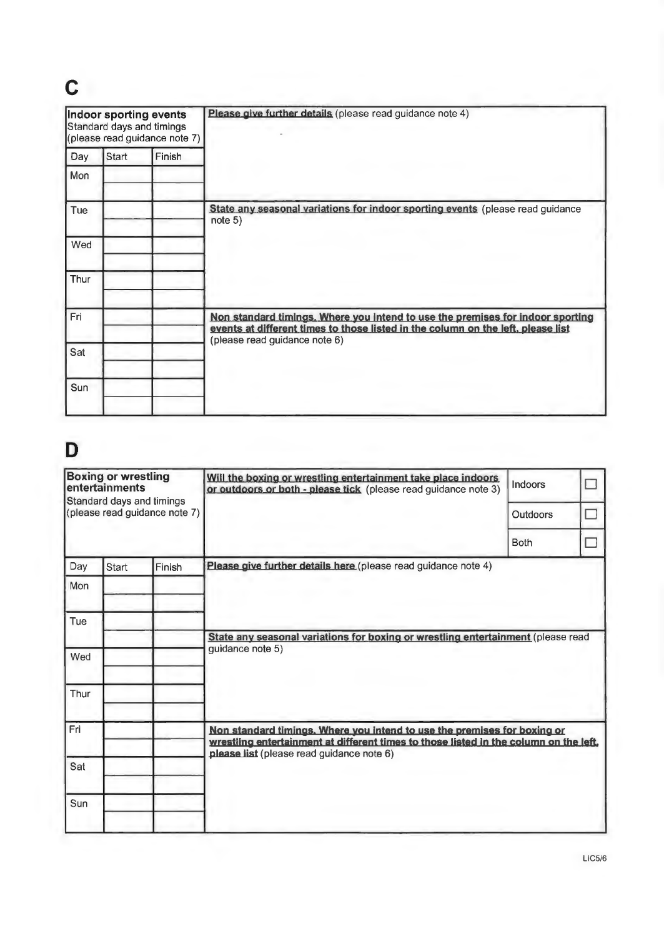# **C**

|      | Indoor sporting events<br>Standard days and timings | (please read guidance note 7) | Please give further details (please read guidance note 4)                                                                                                                                           |
|------|-----------------------------------------------------|-------------------------------|-----------------------------------------------------------------------------------------------------------------------------------------------------------------------------------------------------|
| Day  | Start                                               | Finish                        |                                                                                                                                                                                                     |
| Mon  |                                                     |                               |                                                                                                                                                                                                     |
| Tue  |                                                     |                               | State any seasonal variations for indoor sporting events (please read guidance<br>note 5)                                                                                                           |
| Wed  |                                                     |                               |                                                                                                                                                                                                     |
| Thur |                                                     |                               |                                                                                                                                                                                                     |
| Fri  |                                                     |                               | Non standard timings. Where you intend to use the premises for indoor sporting<br>events at different times to those listed in the column on the left, please list<br>(please read guidance note 6) |
| Sat  |                                                     |                               |                                                                                                                                                                                                     |
| Sun  |                                                     |                               |                                                                                                                                                                                                     |

# **D**

|                               | <b>Boxing or wrestling</b><br>entertainments<br>Standard days and timings |  | Will the boxing or wrestling entertainment take place indoors<br>or outdoors or both - please tick (please read guidance note 3)                                  | Indoors         |  |  |  |
|-------------------------------|---------------------------------------------------------------------------|--|-------------------------------------------------------------------------------------------------------------------------------------------------------------------|-----------------|--|--|--|
| (please read guidance note 7) |                                                                           |  |                                                                                                                                                                   | <b>Outdoors</b> |  |  |  |
|                               |                                                                           |  |                                                                                                                                                                   | <b>Both</b>     |  |  |  |
| Day<br>Finish<br><b>Start</b> |                                                                           |  | Please give further details here (please read guidance note 4)                                                                                                    |                 |  |  |  |
| Mon                           |                                                                           |  |                                                                                                                                                                   |                 |  |  |  |
| Tue                           |                                                                           |  |                                                                                                                                                                   |                 |  |  |  |
|                               |                                                                           |  | State any seasonal variations for boxing or wrestling entertainment (please read                                                                                  |                 |  |  |  |
| Wed                           |                                                                           |  | guidance note 5)                                                                                                                                                  |                 |  |  |  |
| Thur                          |                                                                           |  |                                                                                                                                                                   |                 |  |  |  |
| Fri                           |                                                                           |  | Non standard timings. Where you intend to use the premises for boxing or<br>wrestling entertainment at different times to those listed in the column on the left, |                 |  |  |  |
| Sat                           |                                                                           |  | please list (please read guidance note 6)                                                                                                                         |                 |  |  |  |
| Sun                           |                                                                           |  |                                                                                                                                                                   |                 |  |  |  |
|                               |                                                                           |  |                                                                                                                                                                   |                 |  |  |  |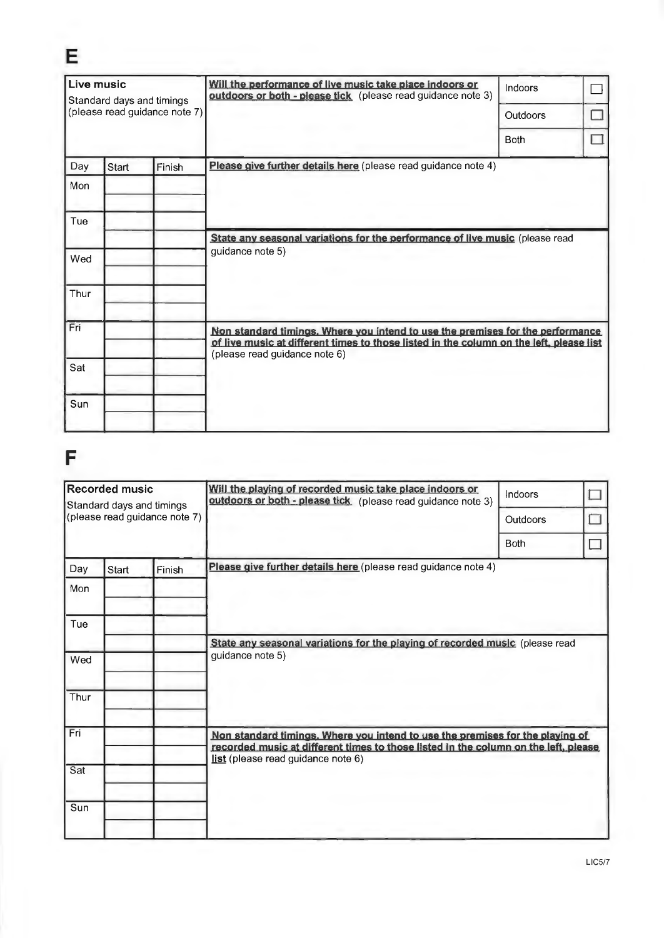| Live music<br>Standard days and timings<br>(please read guidance note 7) |                 |  | Will the performance of live music take place indoors or<br>outdoors or both - please tick (please read guidance note 3)                                                  | Indoors     |  |  |  |
|--------------------------------------------------------------------------|-----------------|--|---------------------------------------------------------------------------------------------------------------------------------------------------------------------------|-------------|--|--|--|
|                                                                          |                 |  |                                                                                                                                                                           | Outdoors    |  |  |  |
|                                                                          |                 |  |                                                                                                                                                                           | <b>Both</b> |  |  |  |
| Day                                                                      | Start<br>Finish |  | Please give further details here (please read guidance note 4)                                                                                                            |             |  |  |  |
| Mon                                                                      |                 |  |                                                                                                                                                                           |             |  |  |  |
| Tue                                                                      |                 |  |                                                                                                                                                                           |             |  |  |  |
|                                                                          |                 |  | State any seasonal variations for the performance of live music (please read<br>guidance note 5)                                                                          |             |  |  |  |
| Wed                                                                      |                 |  |                                                                                                                                                                           |             |  |  |  |
| Thur                                                                     |                 |  |                                                                                                                                                                           |             |  |  |  |
| Fri                                                                      |                 |  | Non standard timings. Where you intend to use the premises for the performance<br>of live music at different times to those listed in the column on the left, please list |             |  |  |  |
| Sat                                                                      |                 |  |                                                                                                                                                                           |             |  |  |  |
| Sun                                                                      |                 |  |                                                                                                                                                                           |             |  |  |  |
|                                                                          |                 |  | (please read guidance note 6)                                                                                                                                             |             |  |  |  |

# F

E

| <b>Recorded music</b><br>Standard days and timings<br>(please read guidance note 7) |       |        | Will the playing of recorded music take place indoors or<br>outdoors or both - please tick (please read guidance note 3)                                                                                   | Indoors     |  |
|-------------------------------------------------------------------------------------|-------|--------|------------------------------------------------------------------------------------------------------------------------------------------------------------------------------------------------------------|-------------|--|
|                                                                                     |       |        |                                                                                                                                                                                                            | Outdoors    |  |
|                                                                                     |       |        |                                                                                                                                                                                                            | <b>Both</b> |  |
| Day                                                                                 | Start | Finish | Please give further details here (please read guidance note 4)                                                                                                                                             |             |  |
| Mon                                                                                 |       |        |                                                                                                                                                                                                            |             |  |
| Tue                                                                                 |       |        |                                                                                                                                                                                                            |             |  |
|                                                                                     |       |        | State any seasonal variations for the playing of recorded music (please read<br>guidance note 5)                                                                                                           |             |  |
| Wed                                                                                 |       |        |                                                                                                                                                                                                            |             |  |
| Thur                                                                                |       |        |                                                                                                                                                                                                            |             |  |
| Fri                                                                                 |       |        | Non standard timings. Where you intend to use the premises for the playing of<br>recorded music at different times to those listed in the column on the left, please<br>list (please read guidance note 6) |             |  |
| Sat                                                                                 |       |        |                                                                                                                                                                                                            |             |  |
| Sun                                                                                 |       |        |                                                                                                                                                                                                            |             |  |
|                                                                                     |       |        |                                                                                                                                                                                                            |             |  |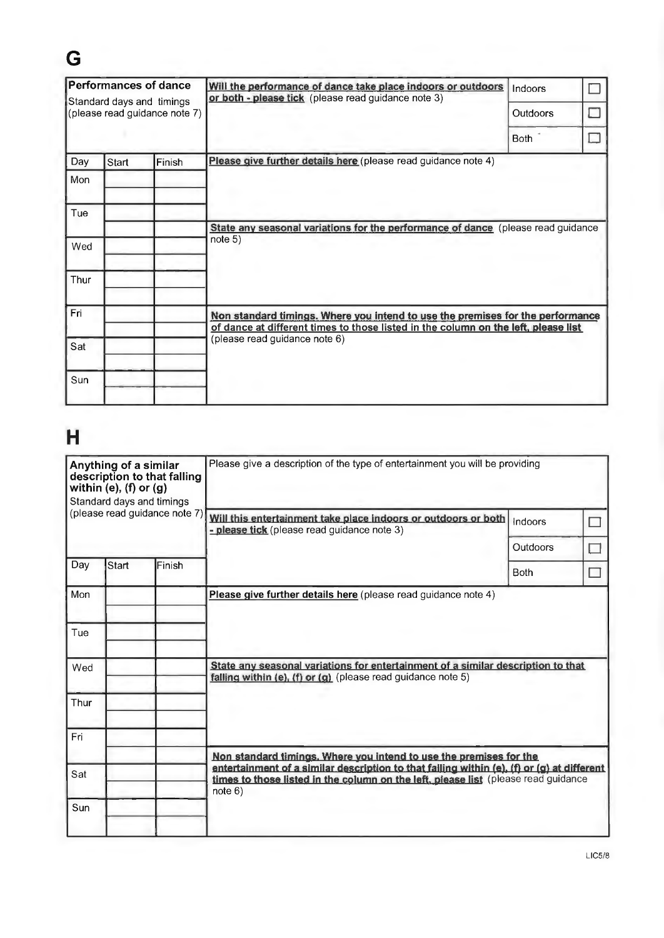# **G**

| <b>Performances of dance</b><br>Standard days and timings<br>(please read guidance note 7) |       |        | Will the performance of dance take place indoors or outdoors<br>or both - please tick (please read guidance note 3)                                                  | Indoors         |  |
|--------------------------------------------------------------------------------------------|-------|--------|----------------------------------------------------------------------------------------------------------------------------------------------------------------------|-----------------|--|
|                                                                                            |       |        |                                                                                                                                                                      | <b>Outdoors</b> |  |
|                                                                                            |       |        |                                                                                                                                                                      | <b>Both</b>     |  |
| Day                                                                                        | Start | Finish | Please give further details here (please read guidance note 4)                                                                                                       |                 |  |
| Mon                                                                                        |       |        |                                                                                                                                                                      |                 |  |
| Tue                                                                                        |       |        |                                                                                                                                                                      |                 |  |
|                                                                                            |       |        | State any seasonal variations for the performance of dance (please read guidance                                                                                     |                 |  |
| Wed                                                                                        |       |        | note 5)                                                                                                                                                              |                 |  |
| Thur                                                                                       |       |        |                                                                                                                                                                      |                 |  |
| Fri                                                                                        |       |        | Non standard timings. Where you intend to use the premises for the performance<br>of dance at different times to those listed in the column on the left, please list |                 |  |
| Sat                                                                                        |       |        | (please read guidance note 6)                                                                                                                                        |                 |  |
| Sun                                                                                        |       |        |                                                                                                                                                                      |                 |  |
|                                                                                            |       |        |                                                                                                                                                                      |                 |  |

# **H**

| Anything of a similar<br>description to that falling<br>within $(e)$ , $(f)$ or $(g)$<br>Standard days and timings |                               |        | Please give a description of the type of entertainment you will be providing                                                                                                                |             |  |  |  |
|--------------------------------------------------------------------------------------------------------------------|-------------------------------|--------|---------------------------------------------------------------------------------------------------------------------------------------------------------------------------------------------|-------------|--|--|--|
|                                                                                                                    | (please read guidance note 7) |        | Will this entertainment take place indoors or outdoors or both<br>- please tick (please read guidance note 3)                                                                               | Indoors     |  |  |  |
|                                                                                                                    |                               |        |                                                                                                                                                                                             | Outdoors    |  |  |  |
| Day                                                                                                                | Start                         | Finish |                                                                                                                                                                                             | <b>Both</b> |  |  |  |
| Mon                                                                                                                |                               |        | Please give further details here (please read guidance note 4)                                                                                                                              |             |  |  |  |
| Tue                                                                                                                |                               |        |                                                                                                                                                                                             |             |  |  |  |
| Wed                                                                                                                |                               |        | State any seasonal variations for entertainment of a similar description to that<br>falling within (e), (f) or (g) (please read guidance note 5)                                            |             |  |  |  |
| Thur                                                                                                               |                               |        |                                                                                                                                                                                             |             |  |  |  |
| Fri                                                                                                                |                               |        |                                                                                                                                                                                             |             |  |  |  |
|                                                                                                                    |                               |        | Non standard timings. Where you intend to use the premises for the                                                                                                                          |             |  |  |  |
| Sat                                                                                                                |                               |        | entertainment of a similar description to that failing within (e), (f) or (g) at different<br>times to those listed in the column on the left, please list (please read guidance<br>note 6) |             |  |  |  |
| Sun                                                                                                                |                               |        |                                                                                                                                                                                             |             |  |  |  |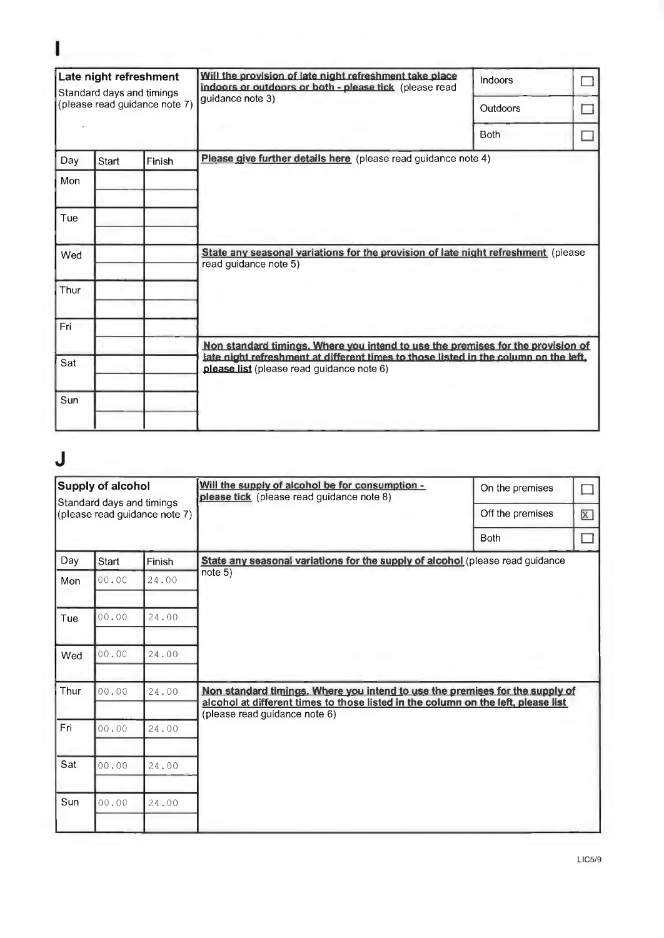| Late night refreshment<br>Standard days and timings<br>(please read guidance note 7) |       |        | Will the provision of late night refreshment take place<br>indoors or outdoors or both - please tick (please read                 | Indoors     |  |
|--------------------------------------------------------------------------------------|-------|--------|-----------------------------------------------------------------------------------------------------------------------------------|-------------|--|
|                                                                                      |       |        | quidance note 3)                                                                                                                  | Outdoors    |  |
|                                                                                      |       |        |                                                                                                                                   | <b>Both</b> |  |
| Day                                                                                  | Start | Finish | Please give further details here (please read guidance note 4)                                                                    |             |  |
| Mon                                                                                  |       |        |                                                                                                                                   |             |  |
| Tue                                                                                  |       |        |                                                                                                                                   |             |  |
| Wed                                                                                  |       |        | State any seasonal variations for the provision of late night refreshment (please<br>read guidance note 5)                        |             |  |
| Thur                                                                                 |       |        |                                                                                                                                   |             |  |
| Fri                                                                                  |       |        |                                                                                                                                   |             |  |
|                                                                                      |       |        | Non standard timings. Where you intend to use the premises for the provision of                                                   |             |  |
| Sat                                                                                  |       |        | late night refreshment at different times to those listed in the column on the left,<br>please list (please read guidance note 6) |             |  |
| Sun                                                                                  |       |        |                                                                                                                                   |             |  |
|                                                                                      |       |        |                                                                                                                                   |             |  |

# **J**

I

| <b>Supply of alcohol</b><br>Standard days and timings<br>(please read guidance note 7) |       |        | Will the supply of alcohol be for consumption -<br>please tick (please read guidance note 8)                                                                                                       | On the premises<br>Off the premises | $\overline{X}$ |  |  |
|----------------------------------------------------------------------------------------|-------|--------|----------------------------------------------------------------------------------------------------------------------------------------------------------------------------------------------------|-------------------------------------|----------------|--|--|
|                                                                                        |       |        |                                                                                                                                                                                                    | <b>Both</b>                         |                |  |  |
| Day                                                                                    | Start | Finish | State any seasonal variations for the supply of alcohol (please read guidance                                                                                                                      |                                     |                |  |  |
| Mon                                                                                    | 00.00 | 24.00  | note 5)                                                                                                                                                                                            |                                     |                |  |  |
| Tue                                                                                    | 00.00 | 24.00  |                                                                                                                                                                                                    |                                     |                |  |  |
| Wed                                                                                    | 00.00 | 24.00  |                                                                                                                                                                                                    |                                     |                |  |  |
| Thur                                                                                   | 00.00 | 24.00  | Non standard timings. Where you intend to use the premises for the supply of<br>alcohol at different times to those listed in the column on the left, please list<br>(please read guidance note 6) |                                     |                |  |  |
| Fri                                                                                    | 00.00 | 24,00  |                                                                                                                                                                                                    |                                     |                |  |  |
| Sat                                                                                    | 00.00 | 24.00  |                                                                                                                                                                                                    |                                     |                |  |  |
| Sun                                                                                    | 00.00 | 24.00  |                                                                                                                                                                                                    |                                     |                |  |  |
|                                                                                        |       |        |                                                                                                                                                                                                    |                                     |                |  |  |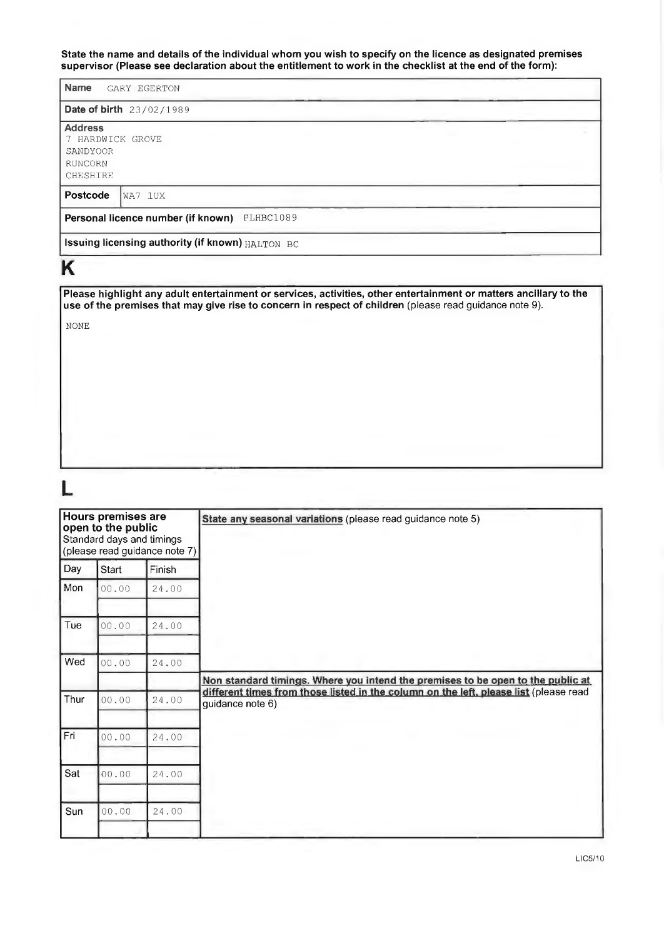**State the name and details of the individual whom you wish to specify on the licence as designated premises supervisor (Please see declaration about the entitlement to work in the checklist at the end of the form):** 

| <b>Name</b><br>GARY EGERTON                                           |  |  |  |  |  |
|-----------------------------------------------------------------------|--|--|--|--|--|
| <b>Date of birth</b> 23/02/1989                                       |  |  |  |  |  |
| <b>Address</b><br>7 HARDWICK GROVE<br>SANDYOOR<br>RUNCORN<br>CHESHIRE |  |  |  |  |  |
| Postcode<br>WA7 1UX                                                   |  |  |  |  |  |
| Personal licence number (if known)<br>PLHBC1089                       |  |  |  |  |  |
| Issuing licensing authority (if known) HALTON BC                      |  |  |  |  |  |

# **K**

**Please highlight any adult entertainment or services, activities, other entertainment or matters ancillary to the use of the premises that may give rise to concern in respect of children** (please read guidance note 9).

NONE

# **L**

| Hours premises are<br>open to the public<br>Standard days and timings<br>(please read guidance note 7) |       |        | State any seasonal variations (please read guidance note 5)                                               |
|--------------------------------------------------------------------------------------------------------|-------|--------|-----------------------------------------------------------------------------------------------------------|
| Day                                                                                                    | Start | Finish |                                                                                                           |
| Mon                                                                                                    | 00.00 | 24.00  |                                                                                                           |
| Tue                                                                                                    | 00.00 | 24.00  |                                                                                                           |
| Wed                                                                                                    | 00.00 | 24.00  | Non standard timings. Where you intend the premises to be open to the public at                           |
| Thur                                                                                                   | 00.00 | 24.00  | different times from those listed in the column on the left, please list (please read<br>guidance note 6) |
| Fri                                                                                                    | 00.00 | 24.00  |                                                                                                           |
| Sat                                                                                                    | 00.00 | 24.00  |                                                                                                           |
| Sun                                                                                                    | 00.00 | 24.00  |                                                                                                           |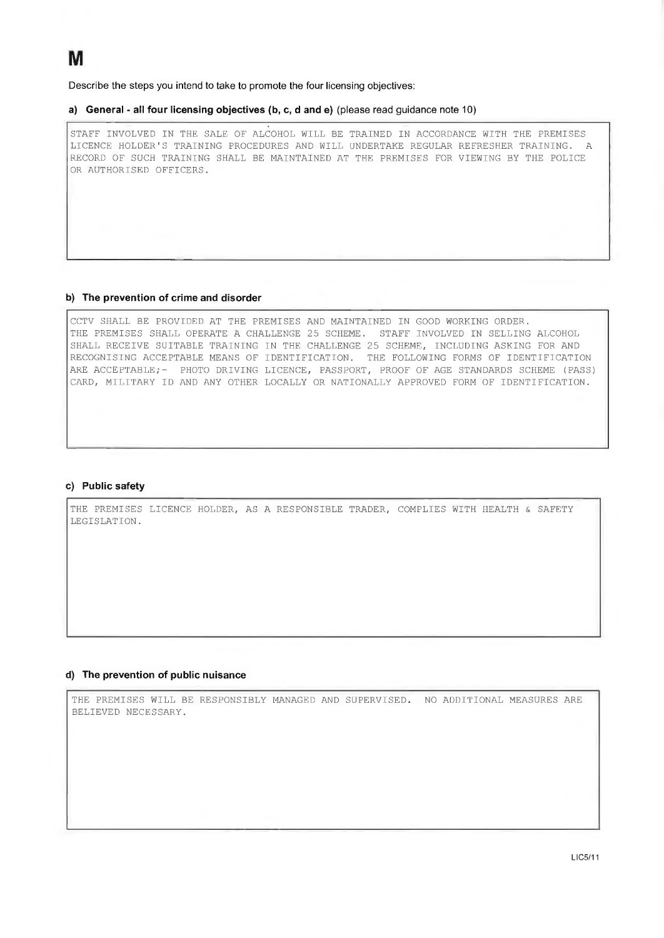**Describe the steps you intend to take to promote the four licensing objectives:** 

#### **a) General - all four licensing objectives (b, c, d and e) (please read guidance note 10)**

STAFF INVOLVED IN THE SALE OF ALCOHOL WILL BE TRAINED IN ACCORDANCE WITH THE PREMISES LICENCE HOLDER'S TRAINING PROCEDURES AND WILL UNDERTAKE REGULAR REFRESHER TRAINING. A RECORD OF SUCH TRAINING SHALL BE MAINTAINED AT THE PREMISES FOR VIEWING BY THE POLICE OR AUTHORISED OFFICERS.

### **b) The prevention of crime and disorder**

CCTV SHALL BE PROVIDED AT THE PREMISES AND MAINTAINED IN GOOD WORKING ORDER. THE PREMISES SHALL OPERATE A CHALLENGE 25 SCHEME. STAFF INVOLVED IN SELLING ALCOHOL SHALL RECEIVE SUITABLE TRAINING IN THE CHALLENGE 25 SCHEME, INCLUDING ASKING FOR AND RECOGNISING ACCEPTABLE MEANS OF IDENTIFICATION. THE FOLLOWING FORMS OF IDENTIFICATION ARE ACCEPTABLE;- PHOTO DRIVING LICENCE, PASSPORT, PROOF OF AGE STANDARDS SCHEME (PASS) CARD, MILITARY ID AND ANY OTHER LOCALLY OR NATIONALLY APPROVED FORM OF IDENTIFICATION.

#### **c) Public safety**

THE PREMISES LICENCE HOLDER, AS A RESPONSIBLE TRADER, COMPLIES WITH HEALTH & SAFETY LEGISLATION.

#### **d) The prevention of public nuisance**

THE PREMISES WILL BE RESPONSIBLY MANAGED AND SUPERVISED. NO ADDITIONAL MEASURES ARE BELIEVED NECESSARY.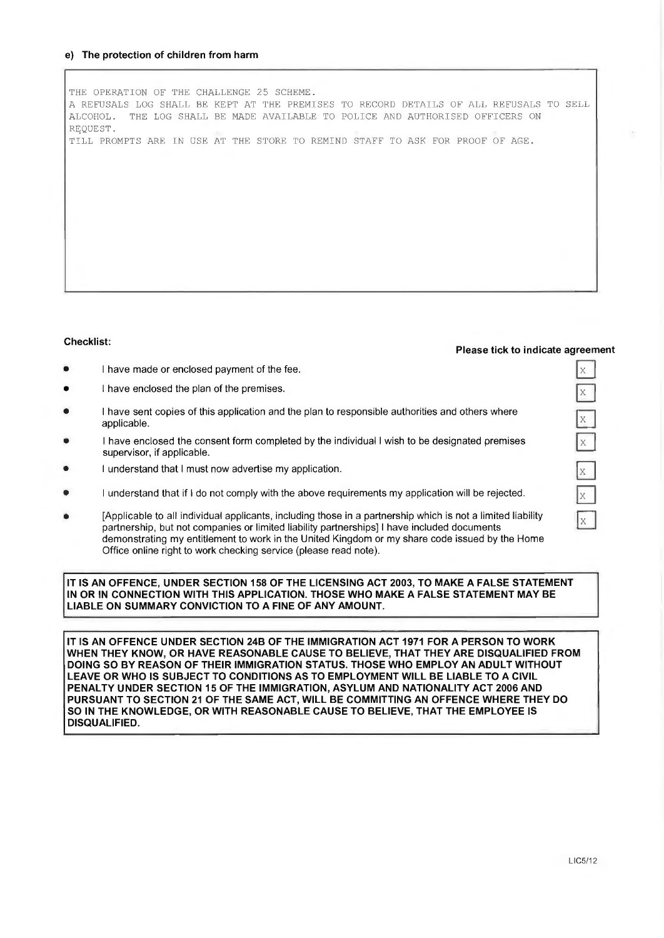#### **e) The protection of children from harm**

THE OPERATION OF THE CHALLENGE 25 SCHEME. A REFUSALS LOG SHALL BE KEPT AT THE PREMISES TO RECORD DETAILS OF ALL REFUSALS TO SELL ALCOHOL. THE LOG SHALL BE MADE AVAILABLE TO POLICE AND AUTHORISED OFFICERS ON REQUEST. TILL PROMPTS ARE IN USE AT THE STORE TO REMIND STAFF TO ASK FOR PROOF OF AGE.

#### **Checklist:**

#### **Please tick to indicate agreement**

 $\mathbb{X}$  $\bar{X}$ 

 $\mathbb{E}$  $\bar{X}$ 

 $X$ 

 $X$ 

 $X$ 

- I have made or enclosed payment of the fee.
- I have enclosed the plan of the premises.
- I have sent copies of this application and the plan to responsible authorities and others where applicable.
- I have enclosed the consent form completed by the individual I wish to be designated premises supervisor, if applicable.
- I understand that I must now advertise my application.
- I understand that if I do not comply with the above requirements my application will be rejected .
- [Applicable to all individual applicants, including those in a partnership which is not a limited liability partnership, but not companies or limited liability partnerships] I have included documents demonstrating my entitlement to work in the United Kingdom or my share code issued by the Home Office online right to work checking service (please read note).

**IT IS AN OFFENCE, UNDER SECTION 158 OF THE LICENSING ACT 2003, TO MAKE A FALSE STATEMENT IN OR IN CONNECTION WITH THIS APPLICATION. THOSE WHO MAKE A FALSE STATEMENT MAY BE LIABLE ON SUMMARY CONVICTION TO A FINE OF ANY AMOUNT.** 

**IT IS AN OFFENCE UNDER SECTION 24B OF THE IMMIGRATION ACT 1971 FOR A PERSON TO WORK WHEN THEY KNOW, OR HAVE REASONABLE CAUSE TO BELIEVE, THAT THEY ARE DISQUALIFIED FROM DOING SO BY REASON OF THEIR IMMIGRATION STATUS. THOSE WHO EMPLOY AN ADULT WITHOUT LEAVE OR WHO IS SUBJECT TO CONDITIONS AS TO EMPLOYMENT WILL BE LIABLE TO A CIVIL PENALTY UNDER SECTION 15 OF THE IMMIGRATION, ASYLUM AND NATIONALITY ACT 2006 AND PURSUANT TO SECTION 21 OF THE SAME ACT, WILL BE COMMITTING AN OFFENCE WHERE THEY DO SO IN THE KNOWLEDGE, OR WITH REASONABLE CAUSE TO BELIEVE, THAT THE EMPLOYEE IS DISQUALIFIED.**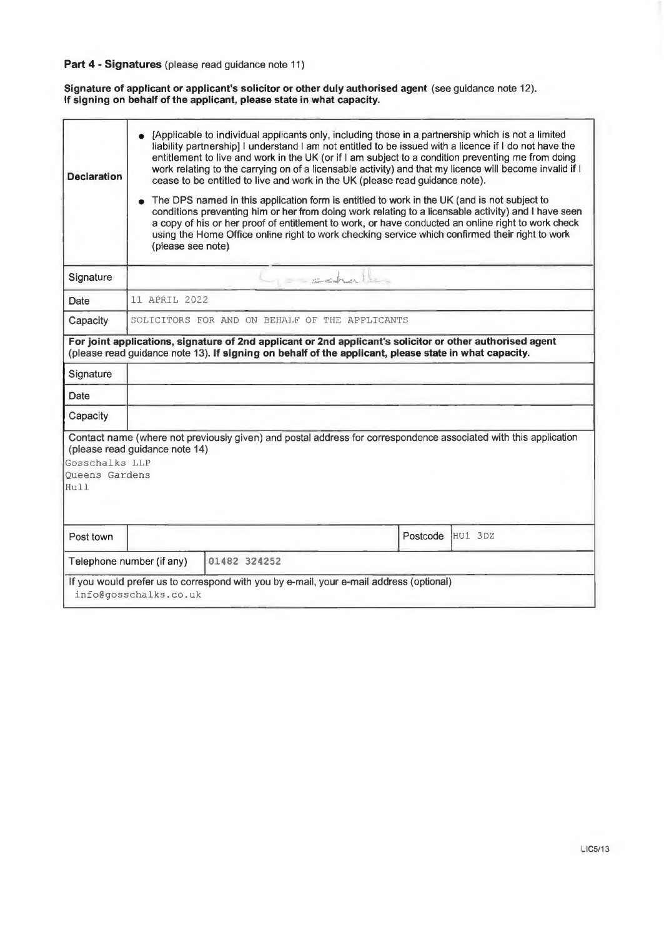# **Part 4 - Signatures** (please read guidance note 11)

**Signature of applicant or applicant's solicitor or other duly authorised agent** (see guidance note 12). **If signing on behalf of the applicant, please state in what capacity.** 

| <b>Declaration</b>                              | [Applicable to individual applicants only, including those in a partnership which is not a limited<br>liability partnership] I understand I am not entitled to be issued with a licence if I do not have the<br>entitlement to live and work in the UK (or if I am subject to a condition preventing me from doing<br>work relating to the carrying on of a licensable activity) and that my licence will become invalid if I<br>cease to be entitled to live and work in the UK (please read guidance note).<br>The DPS named in this application form is entitled to work in the UK (and is not subject to<br>$\bullet$<br>conditions preventing him or her from doing work relating to a licensable activity) and I have seen |                                                                                                                                                                                                       |            |          |         |  |
|-------------------------------------------------|----------------------------------------------------------------------------------------------------------------------------------------------------------------------------------------------------------------------------------------------------------------------------------------------------------------------------------------------------------------------------------------------------------------------------------------------------------------------------------------------------------------------------------------------------------------------------------------------------------------------------------------------------------------------------------------------------------------------------------|-------------------------------------------------------------------------------------------------------------------------------------------------------------------------------------------------------|------------|----------|---------|--|
|                                                 | (please see note)                                                                                                                                                                                                                                                                                                                                                                                                                                                                                                                                                                                                                                                                                                                | a copy of his or her proof of entitlement to work, or have conducted an online right to work check<br>using the Home Office online right to work checking service which confirmed their right to work |            |          |         |  |
| Signature                                       |                                                                                                                                                                                                                                                                                                                                                                                                                                                                                                                                                                                                                                                                                                                                  |                                                                                                                                                                                                       | = sechalle |          |         |  |
| Date                                            | 11 APRIL 2022                                                                                                                                                                                                                                                                                                                                                                                                                                                                                                                                                                                                                                                                                                                    |                                                                                                                                                                                                       |            |          |         |  |
| Capacity                                        |                                                                                                                                                                                                                                                                                                                                                                                                                                                                                                                                                                                                                                                                                                                                  | SOLICITORS FOR AND ON BEHALF OF THE APPLICANTS                                                                                                                                                        |            |          |         |  |
| Signature<br>Date<br>Capacity                   |                                                                                                                                                                                                                                                                                                                                                                                                                                                                                                                                                                                                                                                                                                                                  |                                                                                                                                                                                                       |            |          |         |  |
| Gosschalks LLP<br><b>Oueens Gardens</b><br>Hull | (please read guidance note 14)                                                                                                                                                                                                                                                                                                                                                                                                                                                                                                                                                                                                                                                                                                   | Contact name (where not previously given) and postal address for correspondence associated with this application                                                                                      |            |          |         |  |
| Post town                                       |                                                                                                                                                                                                                                                                                                                                                                                                                                                                                                                                                                                                                                                                                                                                  |                                                                                                                                                                                                       |            | Postcode | HU1 3DZ |  |
| Telephone number (if any)                       |                                                                                                                                                                                                                                                                                                                                                                                                                                                                                                                                                                                                                                                                                                                                  | 01482 324252                                                                                                                                                                                          |            |          |         |  |
|                                                 | info@gosschalks.co.uk                                                                                                                                                                                                                                                                                                                                                                                                                                                                                                                                                                                                                                                                                                            | If you would prefer us to correspond with you by e-mail, your e-mail address (optional)                                                                                                               |            |          |         |  |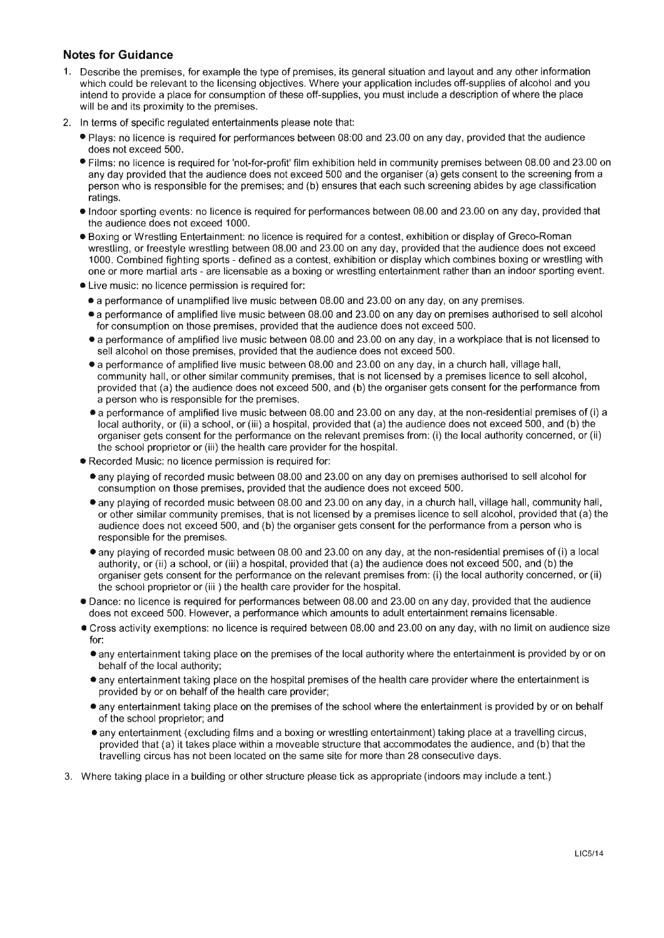### **Notes for Guidance**

- 1. Describe the premises, for example the type of premises, its general situation and layout and any other information which could be relevant to the licensing objectives. Where your application includes off-supplies of alcohol and you intend to provide a place for consumption of these off-supplies, you must include a description of where the place will be and its proximity to the premises.
- 2. In terms of specific regulated entertainments please note that:
	- Plays: no licence is required for performances between 08:00 and 23.00 on any day, provided that the audience does not exceed 500.
	- Films: no licence is required for 'not-for-profit' film exhibition held in community premises between 08.00 and 23.00 on any day provided that the audience does not exceed 500 and the organiser (a) gets consent to the screening from a person who is responsible for the premises; and (b) ensures that each such screening abides by age classification ratings.
	- Indoor sporting events: no licence is required for performances between 08.00 and 23.00 on any day, provided that the audience does not exceed 1000.
	- Boxing or Wrestling Entertainment: no licence is required for a contest, exhibition or display of Greco-Roman wrestling, or freestyle wrestling between 08.00 and 23.00 on any day, provided that the audience does not exceed 1000. Combined fighting sports - defined as a contest, exhibition or display which combines boxing or wrestling with one or more martial arts - are licensable as a boxing or wrestling entertainment rather than an indoor sporting event.
	- Live music: no licence permission is required for:
		- a performance of unamplified live music between 08.00 and 23.00 on any day, on any premises.
		- a performance of amplified live music between 08.00 and 23.00 on any day on premises authorised to sell alcohol for consumption on those premises, provided that the audience does not exceed 500.
		- a performance of amplified live music between 08.00 and 23.00 on any day, in a workplace that is not licensed to sell alcohol on those premises, provided that the audience does not exceed 500.
		- a performance of amplified live music between 08.00 and 23.00 on any day, in a church hall, village hall, community hall, or other similar community premises, that is not licensed by a premises licence to sell alcohol, provided that (a) the audience does not exceed 500, and (b) the organiser gets consent for the performance from a person who is responsible for the premises.
		- a performance of amplified live music between 08.00 and 23.00 on any day, at the non-residential premises of (i) a local authority, or (ii) a school, or (iii) a hospital, provided that (a) the audience does not exceed 500, and (b) the organiser gets consent for the performance on the relevant premises from: (i) the local authority concerned, or (ii) the school proprietor or (iii) the health care provider for the hospital.
	- Recorded Music: no licence permission is required for:
		- any playing of recorded music between 08.00 and 23.00 on any day on premises authorised to sell alcohol for consumption on those premises, provided that the audience does not exceed 500.
		- any playing of recorded music between 08.00 and 23.00 on any day, in a church hall, village hall, community hall, or other similar community premises, that is not licensed by a premises licence to sell alcohol, provided that (a) the audience does not exceed 500, and (b) the organiser gets consent for the performance from a person who is responsible for the premises.
		- any playing of recorded music between 08.00 and 23.00 on any day, at the non-residential premises of (i) a local authority, or (ii) a school, or (iii) a hospital, provided that (a) the audience does not exceed 500, and (b) the organiser gets consent for the performance on the relevant premises from: (i) the local authority concerned, or (ii) the school proprietor or (iii ) the health care provider for the hospital.
	- Dance: no licence is required for performances between 08.00 and 23.00 on any day, provided that the audience does not exceed 500. However, a performance which amounts to adult entertainment remains licensable.
	- Cross activity exemptions: no licence is required between 08.00 and 23.00 on any day, with no limit on audience size for:
		- any entertainment taking place on the premises of the local authority where the entertainment is provided by or on behalf of the local authority;
		- any entertainment taking place on the hospital premises of the health care provider where the entertainment is provided by or on behalf of the health care provider;
		- any entertainment taking place on the premises of the school where the entertainment is provided by or on behalf of the school proprietor; and
		- any entertainment ( excluding films and a boxing or wrestling entertainment) taking place at a travelling circus, provided that (a) it takes place within a moveable structure that accommodates the audience, and (b) that the travelling circus has not been located on the same site for more than 28 consecutive days.
- 3. Where taking place in a building or other structure please tick as appropriate (indoors may include a tent.)